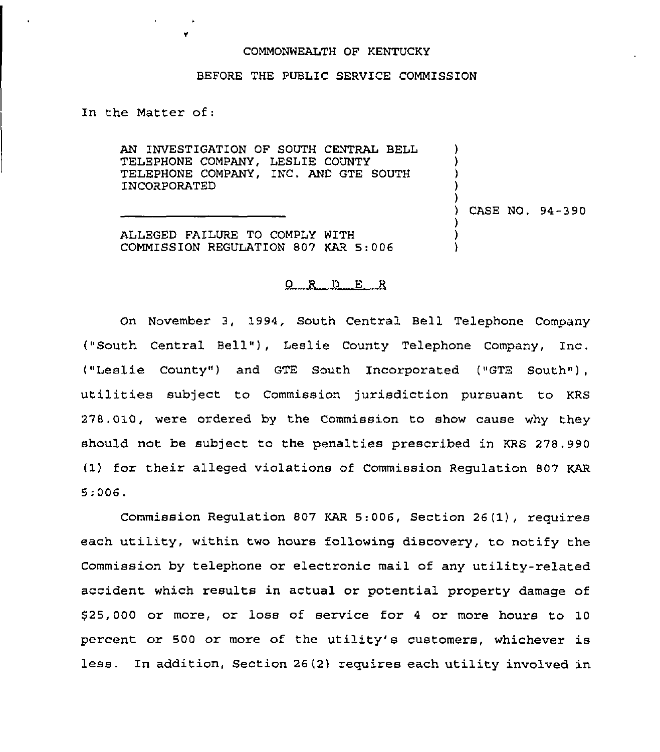## COMMONWEALTH OF KENTUCKY

## BEFORE THE PUBLIC SERVICE COMMISSION

In the Matter of:

AN INVESTIGATION OF SOUTH CENTRAL BELL TELEPHONE COMPANY, LESLIE COUNTY TELEPHONE COMPANY, INC. AND GTE SOUTH INCORPORATED

) CASE NO. 94-390

) ) ) ) )

) ) )

ALLEGED FAILURE TO COMPLY WITH COMMISSION REGULATION 807 KAR 5:006

## 0 R <sup>D</sup> E R

On November 3, 1994, South Central Bell Telephone Company ("South Central Bell" ), Leslie County Telephone Company, Inc. ("Leslie County") and GTE South Incorporated ("GTE South"). utilities subject to Commission jurisdiction pursuant to KRS 278.010, were ordered by the Commission to show cause why they should not be subject to the penalties prescribed in KRS 278,990 (1) for their alleged violations of Commission Regulation 807 KAR 5."006.

Commission Regulation 807 KAR 5:006, Section 26(1), requires each utility, within two hours following discovery, to notify the Commission by telephone or electronic mail of any utility-related accident which results in actual or potential property damage of \$25,000 or more, or loss of service for <sup>4</sup> or more hours to 10 percent or 500 or more of the utility's customers, whichever is less. In addition, Section 26(2) requires each utility involved in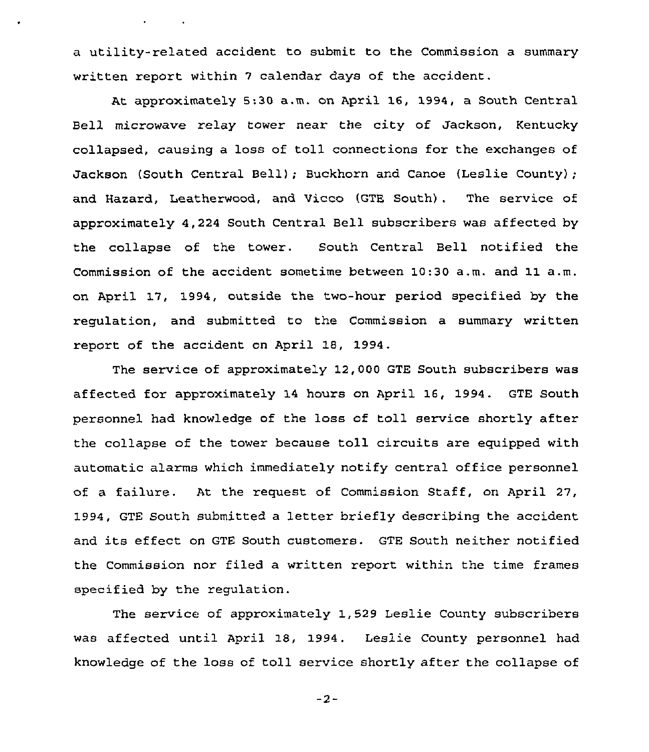a utility-related accident to submit to the Commission a summary written report within <sup>7</sup> calendar days of the accident.

At approximately 5:30 a.m. on April 16, 1994, a South Central Bell microwave relay tower near the city of Jackson, Kentucky collapsed, causing a loss of toll connections for the exchanges of Jackson (South Central Bell); Buckhorn and Canoe (Leslie County); and Hazard, Leatherwood, and Vicco (GTE South) . The service of approximately 4,224 South Central Bell subscribers was affected by the collapse of the tower. South Central Bell notified the Commission of the accident sometime between 10:30 a.m. and 11 a.m. on April 17, 1994, outside the two-hour period specified by the regulation, and submitted to the Commission a summary written report of the accident on April 18, 1994.

The service of approximately 12,000 GTE South subscribers was affected for approximately 14 hours on April 16, 1994. GTE South personnel had knowledge of the loss of toll service shortly after the collapse of the tower because toll circuits are equipped with automatic alarms which immediately notify central office personnel of a failure. At the request of Commission Staff, on April 27, 1994, GTE South submitted a letter briefly describing the accident and its effect on GTE South customers. GTE South neither notified the Commission nor filed a written report within the time frames specified by the regulation.

The service of approximately 1,529 Leslie County subscribers was affected until April 18, 1994. Leslie County personnel had knowledge of the loss of toll service shortly after the collapse of

 $-2-$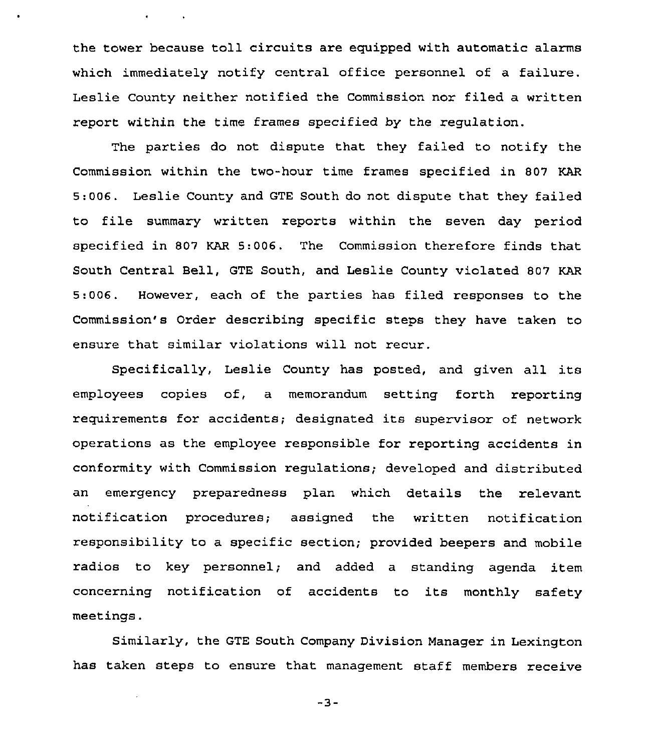the tower because toll circuits are equipped with automatic alarms which immediately notify central office personnel of a failure. Leslie County neither notified the Commission nor filed a written report within the time frames specified by the regulation.

 $\bullet$  -  $\bullet$  -  $\bullet$  -  $\bullet$  -  $\bullet$ 

The parties do not dispute that they failed to notify the Commission within the two-hour time frames specified in 807 KAR 5:006. Leslie County and GTE South do not dispute that they failed to file summary written reports within the seven day period specified in 807 KAR 5:006. The Commission therefore finds that South Central Bell, GTE South, and Leslie County violated 807 KAR 5:006. However, each of the parties has filed responses to the Commission's Order describing specific steps they have taken to ensure that similar violations will not recur.

Specifically, Leslie County has posted, and given all its employees copies of, a memorandum setting forth reporting requirements for accidents; designated its supervisor of network operations as the employee responsible for reporting accidents in conformity with Commission regulations; developed and distributed an emergency preparedness plan which details the relevant notification procedures; assigned the written notification responsibility to a specific section; provided beepers and mobile radios to key personnel; and added a standing agenda item concerning notification of accidents to its monthly safety meetings.

Similarly, the GTE South Company Division Manager in Lexington has taken steps to ensure that management staff members receive

 $-3-$